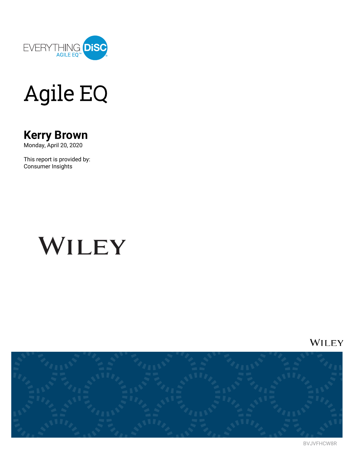

## **Agile EQ**

### **Kerry Brown**

Monday, April 20, 2020

This report is provided by: Consumer Insights

## WILEY

WILEY



BVJVFHCW8R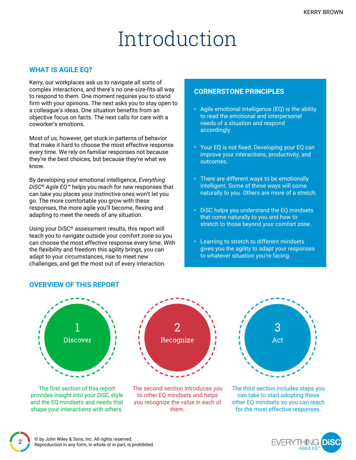### Introduction

#### **WHAT IS AGILE EQ?**

Kerry, our workplaces ask us to navigate all sorts of complex interactions, and there's no one-size-fits-all way to respond to them. One moment requires you to stand firm with your opinions. The next asks you to stay open to a colleague's ideas. One situation benefits from an objective focus on facts. The next calls for care with a coworker's emotions.

Most of us, however, get stuck in patterns of behavior that make it hard to choose the most effective response every time. We rely on familiar responses not because they're the best choices, but because they're what we know.

By developing your emotional intelligence, *Everything DiSC® Agile EQ™* helps you reach for new responses that can take you places your instinctive ones won't let you go. The more comfortable you grow with these responses, the more agile you'll become, flexing and adapting to meet the needs of any situation.

Using your DiSC® assessment results, this report will teach you to navigate outside your comfort zone so you can choose the most effective response every time. With the flexibility and freedom this agility brings, you can adapt to your circumstances, rise to meet new challenges, and get the most out of every interaction.

#### **CORNERSTONE PRINCIPLES**

- Agile emotional intelligence (EQ) is the ability to read the emotional and interpersonal needs of a situation and respond accordingly.
- Your EQ is not fixed. Developing your EQ can improve your interactions, productivity, and outcomes.
- There are different ways to be emotionally intelligent. Some of these ways will come naturally to you. Others are more of a stretch.
- DiSC helps you understand the EQ mindsets that come naturally to you and how to stretch to those beyond your comfort zone.
- Learning to stretch to different mindsets gives you the agility to adapt your responses to whatever situation you're facing.

#### **OVERVIEW OF THIS REPORT**



The first section of this report provides insight into your DiSC style and the EQ mindsets and needs that shape your interactions with others.



The second section introduces you to other EQ mindsets and helps you recognize the value in each of them.



The third section includes steps you can take to start adopting these other EQ mindsets so you can reach for the most effective responses.

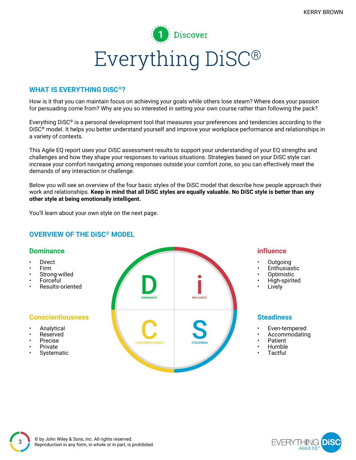

#### **WHAT IS EVERYTHING DiSC®?**

How is it that you can maintain focus on achieving your goals while others lose steam? Where does your passion for persuading come from? Why are you so interested in setting your own course rather than following the pack?

Everything DiSC® is a personal development tool that measures your preferences and tendencies according to the DiSC® model. It helps you better understand yourself and improve your workplace performance and relationships in a variety of contexts.

This Agile EQ report uses your DiSC assessment results to support your understanding of your EQ strengths and challenges and how they shape your responses to various situations. Strategies based on your DiSC style can increase your comfort navigating among responses outside your comfort zone, so you can effectively meet the demands of any interaction or challenge.

Below you will see an overview of the four basic styles of the DiSC model that describe how people approach their work and relationships. Keep in mind that all DiSC styles are equally valuable. No DiSC style is better than any **other style at being emotionally intelligent.**

You'll learn about your own style on the next page.

#### **OVERVIEW OF THE DiSC® MODEL**

#### **Dominance**

- **Direct**
- Firm
- Strong-willed
- Forceful
- Results-oriented

#### **Conscientiousness**

- **Analytical**
- Reserved
- Precise
- Private
- **Systematic**



#### **influence**

- Outgoing
- **Enthusiastic**
- Optimistic
- High-spirited
- **Lively**

#### **Steadiness**

- Even-tempered
- Accommodating
- Patient
- Humble
- **Tactful**

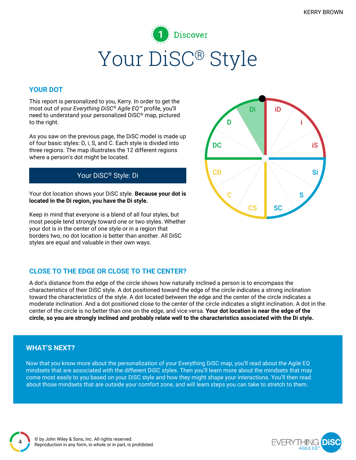### **Discover** Your DiSC® Style

#### **YOUR DOT**

This report is personalized to you, Kerry. In order to get the most out of your *Everything DiSC® Agile EQ™* profile, you'll need to understand your personalized DiSC® map, pictured to the right.

As you saw on the previous page, the DiSC model is made up of four basic styles: D, i, S, and C. Each style is divided into three regions. The map illustrates the 12 different regions where a person's dot might be located.

### Your DiSC® Style: Di

Your dot location shows your DiSC style. **Because your dot is located in the Di region, you have the Di style.**

Keep in mind that everyone is a blend of all four styles, but most people tend strongly toward one or two styles. Whether your dot is in the center of one style or in a region that borders two, no dot location is better than another. All DiSC styles are equal and valuable in their own ways.



### **CLOSE TO THE EDGE OR CLOSE TO THE CENTER?**

A dot's distance from the edge of the circle shows how naturally inclined a person is to encompass the characteristics of their DiSC style. A dot positioned toward the edge of the circle indicates a strong inclination toward the characteristics of the style. A dot located between the edge and the center of the circle indicates a moderate inclination. And a dot positioned close to the center of the circle indicates a slight inclination. A dot in the center of the circle is no better than one on the edge, and vice versa. **Your dot location is near the edge of the** circle, so you are strongly inclined and probably relate well to the characteristics associated with the Di style.

#### **WHAT'S NEXT?**

4

Now that you know more about the personalization of your Everything DiSC map, you'll read about the Agile EQ mindsets that are associated with the different DiSC styles. Then you'll learn more about the mindsets that may come most easily to you based on your DiSC style and how they might shape your interactions. You'll then read about those mindsets that are outside your comfort zone, and will learn steps you can take to stretch to them.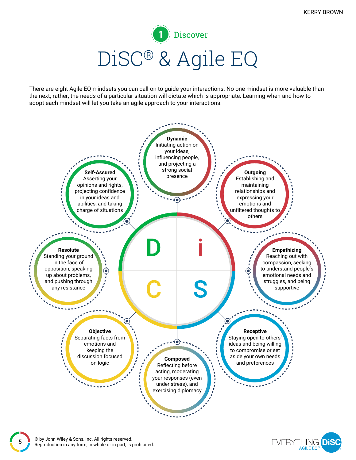Discover DiSC® & Agile EQ

There are eight Agile EQ mindsets you can call on to guide your interactions. No one mindset is more valuable than the next; rather, the needs of a particular situation will dictate which is appropriate. Learning when and how to adopt each mindset will let you take an agile approach to your interactions.



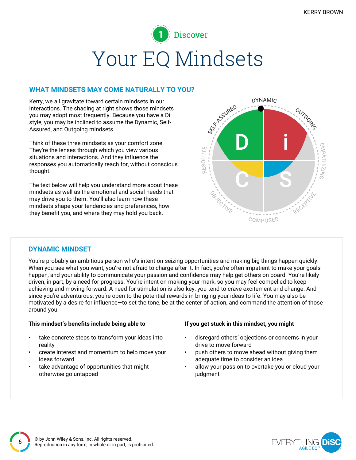## **Discover** Your EQ Mindsets

#### **WHAT MINDSETS MAY COME NATURALLY TO YOU?**

Kerry, we all gravitate toward certain mindsets in our interactions. The shading at right shows those mindsets you may adopt most frequently. Because you have a Di style, you may be inclined to assume the Dynamic, Self-Assured, and Outgoing mindsets.

Think of these three mindsets as your comfort zone. They're the lenses through which you view various situations and interactions. And they influence the responses you automatically reach for, without conscious thought.

The text below will help you understand more about these mindsets as well as the emotional and social needs that may drive you to them. You'll also learn how these mindsets shape your tendencies and preferences, how they benefit you, and where they may hold you back.



#### **DYNAMIC MINDSET**

You're probably an ambitious person who's intent on seizing opportunities and making big things happen quickly. When you see what you want, you're not afraid to charge after it. In fact, you're often impatient to make your goals happen, and your ability to communicate your passion and confidence may help get others on board. You're likely driven, in part, by a need for progress. You're intent on making your mark, so you may feel compelled to keep achieving and moving forward. A need for stimulation is also key: you tend to crave excitement and change. And since you're adventurous, you're open to the potential rewards in bringing your ideas to life. You may also be motivated by a desire for influence—to set the tone, be at the center of action, and command the attention of those around you.

#### **This mindset's benefits include being able to If you get stuck in this mindset, you might**

- take concrete steps to transform your ideas into reality
- create interest and momentum to help move your ideas forward
- take advantage of opportunities that might otherwise go untapped

- disregard others' objections or concerns in your drive to move forward
- push others to move ahead without giving them adequate time to consider an idea
- allow your passion to overtake you or cloud your judgment

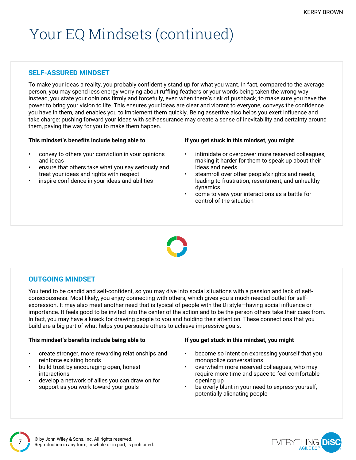### Your EQ Mindsets (continued)

#### **SELF-ASSURED MINDSET**

To make your ideas a reality, you probably confidently stand up for what you want. In fact, compared to the average person, you may spend less energy worrying about ruffling feathers or your words being taken the wrong way. Instead, you state your opinions firmly and forcefully, even when there's risk of pushback, to make sure you have the power to bring your vision to life. This ensures your ideas are clear and vibrant to everyone, conveys the confidence you have in them, and enables you to implement them quickly. Being assertive also helps you exert influence and take charge: pushing forward your ideas with self-assurance may create a sense of inevitability and certainty around them, paving the way for you to make them happen.

#### **This mindset's benefits include being able to If you get stuck in this mindset, you might**

- convey to others your conviction in your opinions and ideas
- ensure that others take what you say seriously and treat your ideas and rights with respect
- inspire confidence in your ideas and abilities

- intimidate or overpower more reserved colleagues, making it harder for them to speak up about their ideas and needs
- steamroll over other people's rights and needs, leading to frustration, resentment, and unhealthy dynamics
- come to view your interactions as a battle for control of the situation



#### **OUTGOING MINDSET**

You tend to be candid and self-confident, so you may dive into social situations with a passion and lack of selfconsciousness. Most likely, you enjoy connecting with others, which gives you a much-needed outlet for selfexpression. It may also meet another need that is typical of people with the Di style—having social influence or importance. It feels good to be invited into the center of the action and to be the person others take their cues from. In fact, you may have a knack for drawing people to you and holding their attention. These connections that you build are a big part of what helps you persuade others to achieve impressive goals.

#### **This mindset's benefits include being able to If you get stuck in this mindset, you might**

- create stronger, more rewarding relationships and reinforce existing bonds
- build trust by encouraging open, honest interactions
- develop a network of allies you can draw on for support as you work toward your goals

- become so intent on expressing yourself that you monopolize conversations
- overwhelm more reserved colleagues, who may require more time and space to feel comfortable opening up
- be overly blunt in your need to express yourself, potentially alienating people

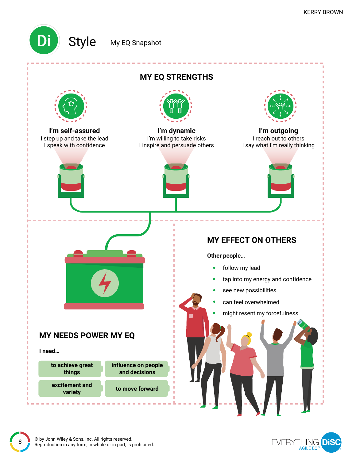

### Style My EQ Snapshot



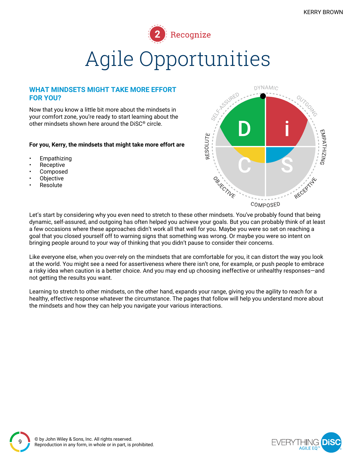

# Agile Opportunities

#### **WHAT MINDSETS MIGHT TAKE MORE EFFORT FOR YOU?**

Now that you know a little bit more about the mindsets in your comfort zone, you're ready to start learning about the other mindsets shown here around the DiSC® circle.

#### **For you, Kerry, the mindsets that might take more effort are**

- **Empathizing**
- **Receptive**
- **Composed**
- **Objective**
- **Resolute**



Let's start by considering why you even need to stretch to these other mindsets. You've probably found that being dynamic, self-assured, and outgoing has often helped you achieve your goals. But you can probably think of at least a few occasions where these approaches didn't work all that well for you. Maybe you were so set on reaching a goal that you closed yourself off to warning signs that something was wrong. Or maybe you were so intent on bringing people around to your way of thinking that you didn't pause to consider their concerns.

Like everyone else, when you over-rely on the mindsets that are comfortable for you, it can distort the way you look at the world. You might see a need for assertiveness where there isn't one, for example, or push people to embrace a risky idea when caution is a better choice. And you may end up choosing ineffective or unhealthy responses—and not getting the results you want.

Learning to stretch to other mindsets, on the other hand, expands your range, giving you the agility to reach for a healthy, effective response whatever the circumstance. The pages that follow will help you understand more about the mindsets and how they can help you navigate your various interactions.

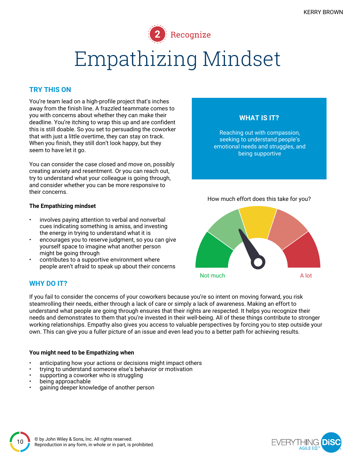Recognize

## Empathizing Mindset

#### **TRY THIS ON**

You're team lead on a high-profile project that's inches away from the finish line. A frazzled teammate comes to you with concerns about whether they can make their deadline. You're itching to wrap this up and are confident this is still doable. So you set to persuading the coworker that with just a little overtime, they can stay on track. When you finish, they still don't look happy, but they seem to have let it go.

You can consider the case closed and move on, possibly creating anxiety and resentment. Or you can reach out, try to understand what your colleague is going through, and consider whether you can be more responsive to their concerns.

#### **The Empathizing mindset**

- involves paying attention to verbal and nonverbal cues indicating something is amiss, and investing the energy in trying to understand what it is
- encourages you to reserve judgment, so you can give yourself space to imagine what another person might be going through
- contributes to a supportive environment where people aren't afraid to speak up about their concerns

#### **WHY DO IT?**

If you fail to consider the concerns of your coworkers because you're so intent on moving forward, you risk steamrolling their needs, either through a lack of care or simply a lack of awareness. Making an effort to understand what people are going through ensures that their rights are respected. It helps you recognize their needs and demonstrates to them that you're invested in their well-being. All of these things contribute to stronger working relationships. Empathy also gives you access to valuable perspectives by forcing you to step outside your own. This can give you a fuller picture of an issue and even lead you to a better path for achieving results.

#### **You might need to be Empathizing when**

- anticipating how your actions or decisions might impact others
- trying to understand someone else's behavior or motivation
- supporting a coworker who is struggling
- being approachable
- gaining deeper knowledge of another person



**WHAT IS IT?**

Reaching out with compassion, seeking to understand people's emotional needs and struggles, and being supportive

Not much a series and the A lot

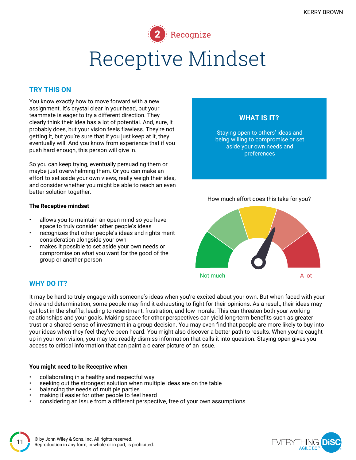Recognize Receptive Mindset

#### **TRY THIS ON**

You know exactly how to move forward with a new assignment. It's crystal clear in your head, but your teammate is eager to try a different direction. They clearly think their idea has a lot of potential. And, sure, it probably does, but your vision feels flawless. They're not getting it, but you're sure that if you just keep at it, they eventually will. And you know from experience that if you push hard enough, this person will give in.

So you can keep trying, eventually persuading them or maybe just overwhelming them. Or you can make an effort to set aside your own views, really weigh their idea, and consider whether you might be able to reach an even better solution together.

#### **The Receptive mindset**

- allows you to maintain an open mind so you have space to truly consider other people's ideas
- recognizes that other people's ideas and rights merit consideration alongside your own
- makes it possible to set aside your own needs or compromise on what you want for the good of the group or another person

#### **WHY DO IT?**

It may be hard to truly engage with someone's ideas when you're excited about your own. But when faced with your drive and determination, some people may find it exhausting to fight for their opinions. As a result, their ideas may get lost in the shuffle, leading to resentment, frustration, and low morale. This can threaten both your working relationships and your goals. Making space for other perspectives can yield long-term benefits such as greater trust or a shared sense of investment in a group decision. You may even find that people are more likely to buy into your ideas when they feel they've been heard. You might also discover a better path to results. When you're caught up in your own vision, you may too readily dismiss information that calls it into question. Staying open gives you access to critical information that can paint a clearer picture of an issue.

#### **You might need to be Receptive when**

- collaborating in a healthy and respectful way
- seeking out the strongest solution when multiple ideas are on the table
- balancing the needs of multiple parties
- making it easier for other people to feel heard
- considering an issue from a different perspective, free of your own assumptions



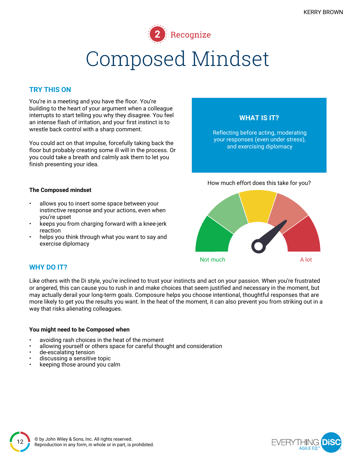

#### **TRY THIS ON**

You're in a meeting and you have the floor. You're building to the heart of your argument when a colleague interrupts to start telling you why they disagree. You feel an intense flash of irritation, and your first instinct is to wrestle back control with a sharp comment.

You could act on that impulse, forcefully taking back the floor but probably creating some ill will in the process. Or you could take a breath and calmly ask them to let you finish presenting your idea.

#### **The Composed mindset**

- allows you to insert some space between your instinctive response and your actions, even when you're upset
- keeps you from charging forward with a knee-jerk reaction
- helps you think through what you want to say and exercise diplomacy



Not much a contract a contract a A lot

#### **WHY DO IT?**

Like others with the Di style, you're inclined to trust your instincts and act on your passion. When you're frustrated or angered, this can cause you to rush in and make choices that seem justified and necessary in the moment, but may actually derail your long-term goals. Composure helps you choose intentional, thoughtful responses that are more likely to get you the results you want. In the heat of the moment, it can also prevent you from striking out in a way that risks alienating colleagues.

#### **You might need to be Composed when**

- avoiding rash choices in the heat of the moment
- allowing yourself or others space for careful thought and consideration
- de-escalating tension
- discussing a sensitive topic
- keeping those around you calm

![](_page_11_Picture_20.jpeg)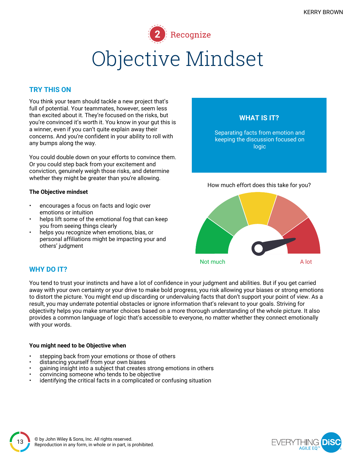![](_page_12_Picture_1.jpeg)

#### **TRY THIS ON**

You think your team should tackle a new project that's full of potential. Your teammates, however, seem less than excited about it. They're focused on the risks, but you're convinced it's worth it. You know in your gut this is a winner, even if you can't quite explain away their concerns. And you're confident in your ability to roll with any bumps along the way.

You could double down on your efforts to convince them. Or you could step back from your excitement and conviction, genuinely weigh those risks, and determine whether they might be greater than you're allowing.

#### **The Objective mindset**

- encourages a focus on facts and logic over emotions or intuition
- helps lift some of the emotional fog that can keep you from seeing things clearly
- helps you recognize when emotions, bias, or personal affiliations might be impacting your and others' judgment

![](_page_12_Figure_9.jpeg)

Not much A lot

#### **WHY DO IT?**

You tend to trust your instincts and have a lot of confidence in your judgment and abilities. But if you get carried away with your own certainty or your drive to make bold progress, you risk allowing your biases or strong emotions to distort the picture. You might end up discarding or undervaluing facts that don't support your point of view. As a result, you may underrate potential obstacles or ignore information that's relevant to your goals. Striving for objectivity helps you make smarter choices based on a more thorough understanding of the whole picture. It also provides a common language of logic that's accessible to everyone, no matter whether they connect emotionally with your words.

#### **You might need to be Objective when**

- stepping back from your emotions or those of others
- distancing yourself from your own biases
- gaining insight into a subject that creates strong emotions in others
- convincing someone who tends to be objective
- identifying the critical facts in a complicated or confusing situation

![](_page_12_Picture_20.jpeg)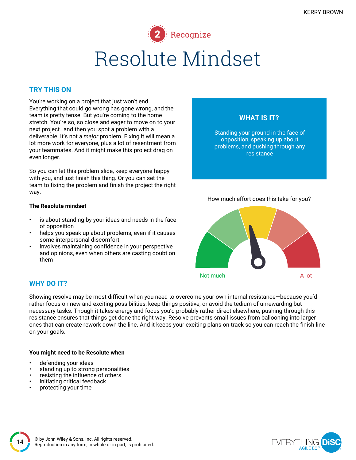![](_page_13_Picture_1.jpeg)

#### **TRY THIS ON**

You're working on a project that just won't end. Everything that could go wrong has gone wrong, and the team is pretty tense. But you're coming to the home stretch. You're so, so close and eager to move on to your next project…and then you spot a problem with a deliverable. It's not a *major* problem. Fixing it will mean a lot more work for everyone, plus a lot of resentment from your teammates. And it might make this project drag on even longer.

So you can let this problem slide, keep everyone happy with you, and just finish this thing. Or you can set the team to fixing the problem and finish the project the right way.

#### **The Resolute mindset**

- is about standing by your ideas and needs in the face of opposition
- helps you speak up about problems, even if it causes some interpersonal discomfort
- involves maintaining confidence in your perspective and opinions, even when others are casting doubt on them

#### **WHY DO IT?**

Showing resolve may be most difficult when you need to overcome your own internal resistance—because you'd rather focus on new and exciting possibilities, keep things positive, or avoid the tedium of unrewarding but necessary tasks. Though it takes energy and focus you'd probably rather direct elsewhere, pushing through this resistance ensures that things get done the right way. Resolve prevents small issues from ballooning into larger ones that can create rework down the line. And it keeps your exciting plans on track so you can reach the finish line on your goals.

#### **You might need to be Resolute when**

- defending your ideas
- standing up to strong personalities
- resisting the influence of others
- initiating critical feedback
- protecting your time

![](_page_13_Figure_17.jpeg)

![](_page_13_Picture_18.jpeg)

![](_page_13_Picture_19.jpeg)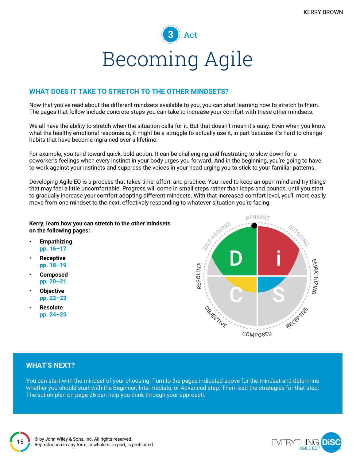![](_page_14_Picture_1.jpeg)

#### **WHAT DOES IT TAKE TO STRETCH TO THE OTHER MINDSETS?**

Now that you've read about the different mindsets available to you, you can start learning how to stretch to them. The pages that follow include concrete steps you can take to increase your comfort with these other mindsets.

We all have the ability to stretch when the situation calls for it. But that doesn't mean it's easy. Even when you know what the healthy emotional response is, it might be a struggle to actually use it, in part because it's hard to change habits that have become ingrained over a lifetime.

For example, you tend toward quick, bold action. It can be challenging and frustrating to slow down for a coworker's feelings when every instinct in your body urges you forward. And in the beginning, you're going to have to work against your instincts and suppress the voices in your head urging you to stick to your familiar patterns.

Developing Agile EQ is a process that takes time, effort, and practice. You need to keep an open mind and try things that may feel a little uncomfortable. Progress will come in small steps rather than leaps and bounds, until you start to gradually increase your comfort adopting different mindsets. With that increased comfort level, you'll more easily move from one mindset to the next, effectively responding to whatever situation you're facing.

#### **Kerry, learn how you can stretch to the other mindsets on the following pages:**

- **Empathizing pp. 16–17**
- **Receptive pp. 18–19**
- **Composed pp. 20–21**
- **Objective pp. 22–23**
- **Resolute pp. 24–25**

![](_page_14_Figure_13.jpeg)

#### **WHAT'S NEXT?**

You can start with the mindset of your choosing. Turn to the pages indicated above for the mindset and determine whether you should start with the Beginner, Intermediate, or Advanced step. Then read the strategies for that step. The action plan on page 26 can help you think through your approach.

![](_page_14_Picture_17.jpeg)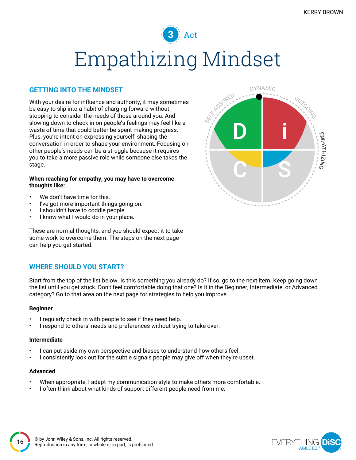![](_page_15_Picture_1.jpeg)

#### **GETTING INTO THE MINDSET**

With your desire for influence and authority, it may sometimes be easy to slip into a habit of charging forward without stopping to consider the needs of those around you. And slowing down to check in on people's feelings may feel like a waste of time that could better be spent making progress. Plus, you're intent on expressing yourself, shaping the conversation in order to shape your environment. Focusing on other people's needs can be a struggle because it requires you to take a more passive role while someone else takes the stage.

#### **When reaching for empathy, you may have to overcome thoughts like:**

- We don't have time for this.
- I've got more important things going on.
- I shouldn't have to coddle people.
- I know what I would do in your place.

These are normal thoughts, and you should expect it to take some work to overcome them. The steps on the next page can help you get started.

#### **WHERE SHOULD YOU START?**

Start from the top of the list below. Is this something you already do? If so, go to the next item. Keep going down the list until you get stuck. Don't feel comfortable doing that one? Is it in the Beginner, Intermediate, or Advanced category? Go to that area on the next page for strategies to help you improve.

#### **Beginner**

- I regularly check in with people to see if they need help.
- I respond to others' needs and preferences without trying to take over.

#### **Intermediate**

- I can put aside my own perspective and biases to understand how others feel.
- I consistently look out for the subtle signals people may give off when they're upset.

#### **Advanced**

- When appropriate, I adapt my communication style to make others more comfortable.
- I often think about what kinds of support different people need from me.

![](_page_15_Picture_21.jpeg)

![](_page_15_Picture_22.jpeg)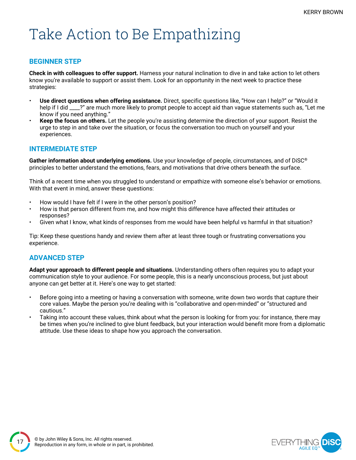### Take Action to Be Empathizing

#### **BEGINNER STEP**

**Check in with colleagues to offer support.** Harness your natural inclination to dive in and take action to let others know you're available to support or assist them. Look for an opportunity in the next week to practice these strategies:

- **Use direct questions when offering assistance.** Direct, specific questions like, "How can I help?" or "Would it help if I did \_\_\_\_?" are much more likely to prompt people to accept aid than vague statements such as, "Let me know if you need anything."
- **Keep the focus on others.** Let the people you're assisting determine the direction of your support. Resist the urge to step in and take over the situation, or focus the conversation too much on yourself and your experiences.

#### **INTERMEDIATE STEP**

**Gather information about underlying emotions.** Use your knowledge of people, circumstances, and of DiSC® principles to better understand the emotions, fears, and motivations that drive others beneath the surface.

Think of a recent time when you struggled to understand or empathize with someone else's behavior or emotions. With that event in mind, answer these questions:

- How would I have felt if I were in the other person's position?
- How is that person different from me, and how might this difference have affected their attitudes or responses?
- Given what I know, what kinds of responses from me would have been helpful vs harmful in that situation?

Tip: Keep these questions handy and review them after at least three tough or frustrating conversations you experience.

#### **ADVANCED STEP**

**Adapt your approach to different people and situations.** Understanding others often requires you to adapt your communication style to your audience. For some people, this is a nearly unconscious process, but just about anyone can get better at it. Here's one way to get started:

- Before going into a meeting or having a conversation with someone, write down two words that capture their core values. Maybe the person you're dealing with is "collaborative and open-minded" or "structured and cautious."
- Taking into account these values, think about what the person is looking for from you: for instance, there may be times when you're inclined to give blunt feedback, but your interaction would benefit more from a diplomatic attitude. Use these ideas to shape how you approach the conversation.

![](_page_16_Picture_17.jpeg)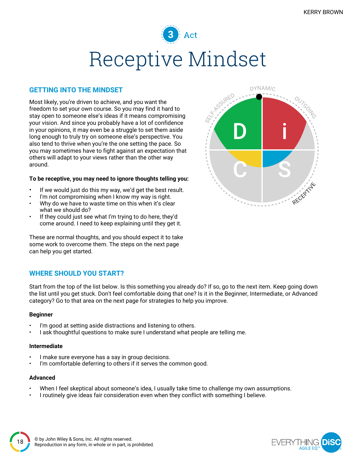### $\parallel$  Act Receptive Mindset

#### **GETTING INTO THE MINDSET**

Most likely, you're driven to achieve, and you want the freedom to set your own course. So you may find it hard to stay open to someone else's ideas if it means compromising your vision. And since you probably have a lot of confidence in your opinions, it may even be a struggle to set them aside long enough to truly try on someone else's perspective. You also tend to thrive when you're the one setting the pace. So you may sometimes have to fight against an expectation that others will adapt to your views rather than the other way around.

#### **To be receptive, you may need to ignore thoughts telling you:**

- If we would just do this my way, we'd get the best result.
- I'm not compromising when I know my way is right.
- Why do we have to waste time on this when it's clear what we should do?
- If they could just see what I'm trying to do here, they'd come around. I need to keep explaining until they get it.

These are normal thoughts, and you should expect it to take some work to overcome them. The steps on the next page can help you get started.

#### **WHERE SHOULD YOU START?**

Start from the top of the list below. Is this something you already do? If so, go to the next item. Keep going down the list until you get stuck. Don't feel comfortable doing that one? Is it in the Beginner, Intermediate, or Advanced category? Go to that area on the next page for strategies to help you improve.

#### **Beginner**

- I'm good at setting aside distractions and listening to others.
- I ask thoughtful questions to make sure I understand what people are telling me.

#### **Intermediate**

- I make sure everyone has a say in group decisions.
- I'm comfortable deferring to others if it serves the common good.

#### **Advanced**

- When I feel skeptical about someone's idea, I usually take time to challenge my own assumptions.
- I routinely give ideas fair consideration even when they conflict with something I believe.

![](_page_17_Picture_21.jpeg)

![](_page_17_Picture_22.jpeg)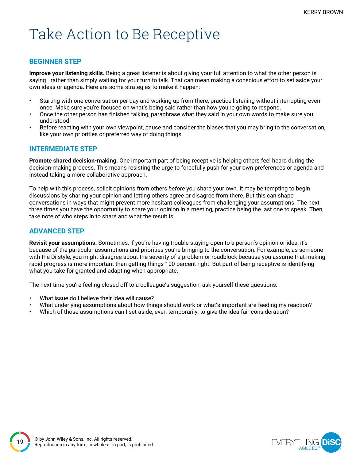### Take Action to Be Receptive

#### **BEGINNER STEP**

**Improve your listening skills.** Being a great listener is about giving your full attention to what the other person is saying—rather than simply waiting for your turn to talk. That can mean making a conscious effort to set aside your own ideas or agenda. Here are some strategies to make it happen:

- Starting with one conversation per day and working up from there, practice listening without interrupting even once. Make sure you're focused on what's being said rather than how you're going to respond.
- Once the other person has finished talking, paraphrase what they said in your own words to make sure you understood.
- Before reacting with your own viewpoint, pause and consider the biases that you may bring to the conversation, like your own priorities or preferred way of doing things.

#### **INTERMEDIATE STEP**

**Promote shared decision-making.** One important part of being receptive is helping others feel heard during the decision-making process. This means resisting the urge to forcefully push for your own preferences or agenda and instead taking a more collaborative approach.

To help with this process, solicit opinions from others *before* you share your own. It may be tempting to begin discussions by sharing your opinion and letting others agree or disagree from there. But this can shape conversations in ways that might prevent more hesitant colleagues from challenging your assumptions. The next three times you have the opportunity to share your opinion in a meeting, practice being the last one to speak. Then, take note of who steps in to share and what the result is.

#### **ADVANCED STEP**

**Revisit your assumptions.** Sometimes, if you're having trouble staying open to a person's opinion or idea, it's because of the particular assumptions and priorities you're bringing to the conversation. For example, as someone with the Di style, you might disagree about the severity of a problem or roadblock because you assume that making rapid progress is more important than getting things 100 percent right. But part of being receptive is identifying what you take for granted and adapting when appropriate.

The next time you're feeling closed off to a colleague's suggestion, ask yourself these questions:

- What issue do I believe their idea will cause?
- What underlying assumptions about how things should work or what's important are feeding my reaction?
- Which of those assumptions can I set aside, even temporarily, to give the idea fair consideration?

![](_page_18_Picture_16.jpeg)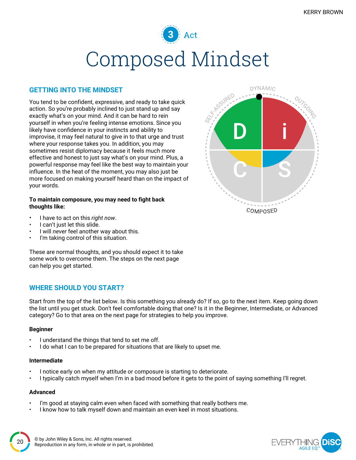### $\mathbb{R}$  Act Composed Mindset

#### **GETTING INTO THE MINDSET**

You tend to be confident, expressive, and ready to take quick action. So you're probably inclined to just stand up and say exactly what's on your mind. And it can be hard to rein yourself in when you're feeling intense emotions. Since you likely have confidence in your instincts and ability to improvise, it may feel natural to give in to that urge and trust where your response takes you. In addition, you may sometimes resist diplomacy because it feels much more effective and honest to just say what's on your mind. Plus, a powerful response may feel like the best way to maintain your influence. In the heat of the moment, you may also just be more focused on making yourself heard than on the impact of your words.

#### **To maintain composure, you may need to fight back thoughts like:**

**DYNAMIC** COMPOSED

- I have to act on this *right now*.
- I can't just let this slide.
- I will *never* feel another way about this.
- I'm taking control of this situation.

These are normal thoughts, and you should expect it to take some work to overcome them. The steps on the next page can help you get started.

#### **WHERE SHOULD YOU START?**

Start from the top of the list below. Is this something you already do? If so, go to the next item. Keep going down the list until you get stuck. Don't feel comfortable doing that one? Is it in the Beginner, Intermediate, or Advanced category? Go to that area on the next page for strategies to help you improve.

#### **Beginner**

- I understand the things that tend to set me off.
- I do what I can to be prepared for situations that are likely to upset me.

#### **Intermediate**

- I notice early on when my attitude or composure is starting to deteriorate.
- I typically catch myself when I'm in a bad mood before it gets to the point of saying something I'll regret.

#### **Advanced**

- I'm good at staying calm even when faced with something that really bothers me.
- I know how to talk myself down and maintain an even keel in most situations.

![](_page_19_Picture_22.jpeg)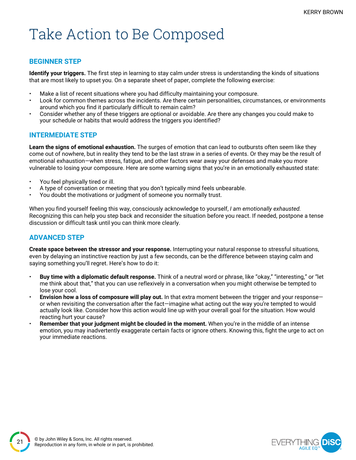### Take Action to Be Composed

#### **BEGINNER STEP**

**Identify your triggers.** The first step in learning to stay calm under stress is understanding the kinds of situations that are most likely to upset you. On a separate sheet of paper, complete the following exercise:

- Make a list of recent situations where you had difficulty maintaining your composure.
- Look for common themes across the incidents. Are there certain personalities, circumstances, or environments around which you find it particularly difficult to remain calm?
- Consider whether any of these triggers are optional or avoidable. Are there any changes you could make to your schedule or habits that would address the triggers you identified?

#### **INTERMEDIATE STEP**

**Learn the signs of emotional exhaustion.** The surges of emotion that can lead to outbursts often seem like they come out of nowhere, but in reality they tend to be the last straw in a series of events. Or they may be the result of emotional exhaustion—when stress, fatigue, and other factors wear away your defenses and make you more vulnerable to losing your composure. Here are some warning signs that you're in an emotionally exhausted state:

- You feel physically tired or ill.
- A type of conversation or meeting that you don't typically mind feels unbearable.
- You doubt the motivations or judgment of someone you normally trust.

When you find yourself feeling this way, consciously acknowledge to yourself, *I am emotionally exhausted.* Recognizing this can help you step back and reconsider the situation before you react. If needed, postpone a tense discussion or difficult task until you can think more clearly.

#### **ADVANCED STEP**

**Create space between the stressor and your response.** Interrupting your natural response to stressful situations, even by delaying an instinctive reaction by just a few seconds, can be the difference between staying calm and saying something you'll regret. Here's how to do it:

- **Buy time with a diplomatic default response.** Think of a neutral word or phrase, like "okay," "interesting," or "let me think about that," that you can use reflexively in a conversation when you might otherwise be tempted to lose your cool.
- **Envision how a loss of composure will play out.** In that extra moment between the trigger and your response or when revisiting the conversation after the fact—imagine what acting out the way you're tempted to would actually look like. Consider how this action would line up with your overall goal for the situation. How would reacting hurt your cause?
- **Remember that your judgment might be clouded in the moment.** When you're in the middle of an intense emotion, you may inadvertently exaggerate certain facts or ignore others. Knowing this, fight the urge to act on your immediate reactions.

![](_page_20_Picture_18.jpeg)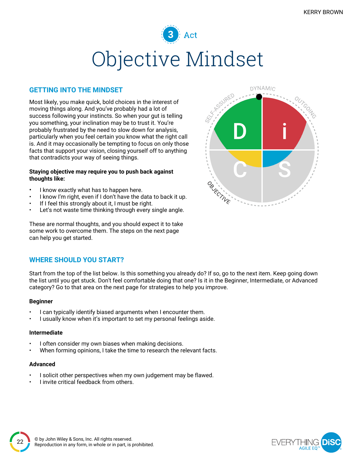### $\stackrel{\cdot }{)}$  Act Objective Mindset

#### **GETTING INTO THE MINDSET**

Most likely, you make quick, bold choices in the interest of moving things along. And you've probably had a lot of success following your instincts. So when your gut is telling you something, your inclination may be to trust it. You're probably frustrated by the need to slow down for analysis, particularly when you feel certain you know what the right call is. And it may occasionally be tempting to focus on only those facts that support your vision, closing yourself off to anything that contradicts your way of seeing things.

#### **Staying objective may require you to push back against thoughts like:**

- I know exactly what has to happen here.
- I know I'm right, even if I don't have the data to back it up.
- If I feel this strongly about it, I must be right.
- Let's not waste time thinking through every single angle.

These are normal thoughts, and you should expect it to take some work to overcome them. The steps on the next page can help you get started.

#### **WHERE SHOULD YOU START?**

Start from the top of the list below. Is this something you already do? If so, go to the next item. Keep going down the list until you get stuck. Don't feel comfortable doing that one? Is it in the Beginner, Intermediate, or Advanced category? Go to that area on the next page for strategies to help you improve.

#### **Beginner**

- I can typically identify biased arguments when I encounter them.
- I usually know when it's important to set my personal feelings aside.

#### **Intermediate**

- I often consider my own biases when making decisions.
- When forming opinions, I take the time to research the relevant facts.

#### **Advanced**

- I solicit other perspectives when my own judgement may be flawed.
- I invite critical feedback from others.

![](_page_21_Picture_21.jpeg)

![](_page_21_Picture_22.jpeg)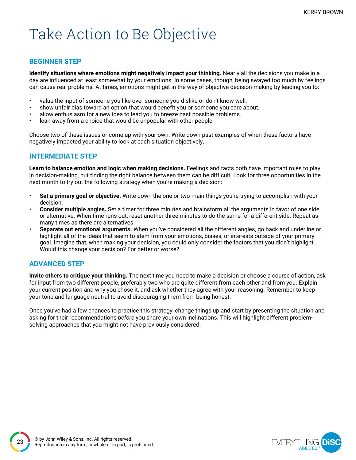### Take Action to Be Objective

#### **BEGINNER STEP**

**Identify situations where emotions might negatively impact your thinking.** Nearly all the decisions you make in a day are influenced at least somewhat by your emotions. In some cases, though, being swayed too much by feelings can cause real problems. At times, emotions might get in the way of objective decision-making by leading you to:

- value the input of someone you like over someone you dislike or don't know well.
- show unfair bias toward an option that would benefit you or someone you care about.
- allow enthusiasm for a new idea to lead you to breeze past possible problems.
- lean away from a choice that would be unpopular with other people.

Choose two of these issues or come up with your own. Write down past examples of when these factors have negatively impacted your ability to look at each situation objectively.

#### **INTERMEDIATE STEP**

**Learn to balance emotion and logic when making decisions.** Feelings and facts both have important roles to play in decision-making, but finding the right balance between them can be difficult. Look for three opportunities in the next month to try out the following strategy when you're making a decision:

- **Set a primary goal or objective.** Write down the one or two main things you're trying to accomplish with your decision.
- **Consider multiple angles.** Set a timer for three minutes and brainstorm all the arguments in favor of one side or alternative. When time runs out, reset another three minutes to do the same for a different side. Repeat as many times as there are alternatives.
- **Separate out emotional arguments.** When you've considered all the different angles, go back and underline or highlight all of the ideas that seem to stem from your emotions, biases, or interests outside of your primary goal. Imagine that, when making your decision, you could only consider the factors that you didn't highlight. Would this change your decision? For better or worse?

#### **ADVANCED STEP**

**Invite others to critique your thinking.** The next time you need to make a decision or choose a course of action, ask for input from two different people, preferably two who are quite different from each other and from you. Explain your current position and why you chose it, and ask whether they agree with your reasoning. Remember to keep your tone and language neutral to avoid discouraging them from being honest.

Once you've had a few chances to practice this strategy, change things up and start by presenting the situation and asking for their recommendations *before* you share your own inclinations. This will highlight different problemsolving approaches that you might not have previously considered.

![](_page_22_Picture_17.jpeg)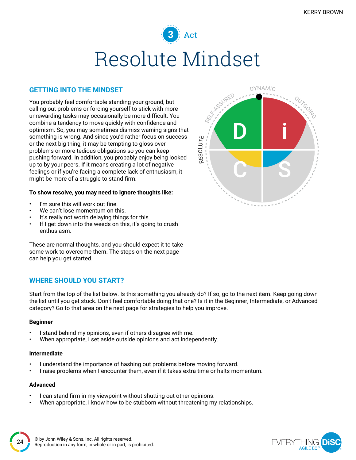### 3 Act Resolute Mindset

#### **GETTING INTO THE MINDSET**

You probably feel comfortable standing your ground, but calling out problems or forcing yourself to stick with more unrewarding tasks may occasionally be more difficult. You combine a tendency to move quickly with confidence and optimism. So, you may sometimes dismiss warning signs that something is wrong. And since you'd rather focus on success or the next big thing, it may be tempting to gloss over problems or more tedious obligations so you can keep pushing forward. In addition, you probably enjoy being looked up to by your peers. If it means creating a lot of negative feelings or if you're facing a complete lack of enthusiasm, it might be more of a struggle to stand firm.

#### **To show resolve, you may need to ignore thoughts like:**

- I'm sure this will work out fine.
- We can't lose momentum on this.
- It's really not worth delaying things for this.
- If I get down into the weeds on this, it's going to crush enthusiasm.

These are normal thoughts, and you should expect it to take some work to overcome them. The steps on the next page can help you get started.

#### **WHERE SHOULD YOU START?**

Start from the top of the list below. Is this something you already do? If so, go to the next item. Keep going down the list until you get stuck. Don't feel comfortable doing that one? Is it in the Beginner, Intermediate, or Advanced category? Go to that area on the next page for strategies to help you improve.

#### **Beginner**

- I stand behind my opinions, even if others disagree with me.
- When appropriate, I set aside outside opinions and act independently.

#### **Intermediate**

- I understand the importance of hashing out problems before moving forward.
- I raise problems when I encounter them, even if it takes extra time or halts momentum.

#### **Advanced**

- I can stand firm in my viewpoint without shutting out other opinions.
- When appropriate, I know how to be stubborn without threatening my relationships.

![](_page_23_Figure_21.jpeg)

![](_page_23_Picture_22.jpeg)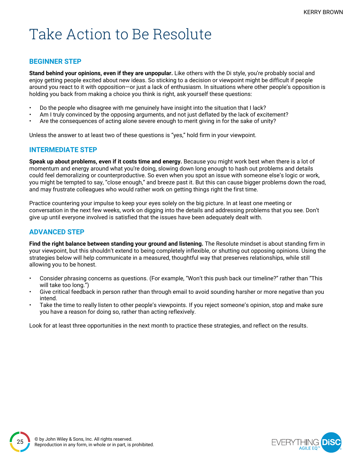### Take Action to Be Resolute

#### **BEGINNER STEP**

**Stand behind your opinions, even if they are unpopular.** Like others with the Di style, you're probably social and enjoy getting people excited about new ideas. So sticking to a decision or viewpoint might be difficult if people around you react to it with opposition—or just a lack of enthusiasm. In situations where other people's opposition is holding you back from making a choice you think is right, ask yourself these questions:

- Do the people who disagree with me genuinely have insight into the situation that I lack?
- Am I truly convinced by the opposing arguments, and not just deflated by the lack of excitement?
- Are the consequences of acting alone severe enough to merit giving in for the sake of unity?

Unless the answer to at least two of these questions is "yes," hold firm in your viewpoint.

#### **INTERMEDIATE STEP**

**Speak up about problems, even if it costs time and energy.** Because you might work best when there is a lot of momentum and energy around what you're doing, slowing down long enough to hash out problems and details could feel demoralizing or counterproductive. So even when you spot an issue with someone else's logic or work, you might be tempted to say, "close enough," and breeze past it. But this can cause bigger problems down the road, and may frustrate colleagues who would rather work on getting things right the first time.

Practice countering your impulse to keep your eyes solely on the big picture. In at least one meeting or conversation in the next few weeks, work on digging into the details and addressing problems that you see. Don't give up until everyone involved is satisfied that the issues have been adequately dealt with.

#### **ADVANCED STEP**

**Find the right balance between standing your ground and listening.** The Resolute mindset is about standing firm in your viewpoint, but this shouldn't extend to being completely inflexible, or shutting out opposing opinions. Using the strategies below will help communicate in a measured, thoughtful way that preserves relationships, while still allowing you to be honest.

- Consider phrasing concerns as questions. (For example, "Won't this push back our timeline?" rather than "This will take too long.")
- Give critical feedback in person rather than through email to avoid sounding harsher or more negative than you intend.
- Take the time to really listen to other people's viewpoints. If you reject someone's opinion, stop and make sure you have a reason for doing so, rather than acting reflexively.

Look for at least three opportunities in the next month to practice these strategies, and reflect on the results.

![](_page_24_Picture_17.jpeg)